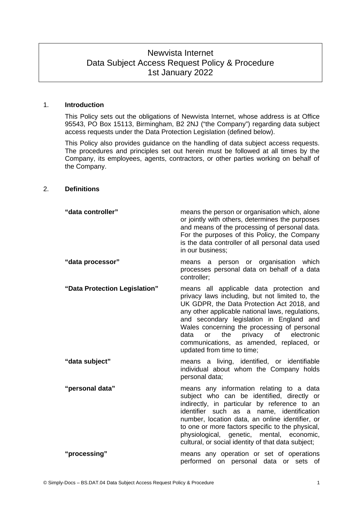# Newvista Internet Data Subject Access Request Policy & Procedure 1st January 2022

## 1. **Introduction**

<span id="page-0-0"></span>This Policy sets out the obligations of Newvista Internet, whose address is at Office 95543, PO Box 15113, Birmingham, B2 2NJ ("the Company") regarding data subject access requests under the Data Protection Legislation (defined below).

This Policy also provides guidance on the handling of data subject access requests. The procedures and principles set out herein must be followed at all times by the Company, its employees, agents, contractors, or other parties working on behalf of the Company.

#### 2. **Definitions**

| "data controller"             | means the person or organisation which, alone<br>or jointly with others, determines the purposes<br>and means of the processing of personal data.<br>For the purposes of this Policy, the Company<br>is the data controller of all personal data used<br>in our business:                                                                                                                                           |
|-------------------------------|---------------------------------------------------------------------------------------------------------------------------------------------------------------------------------------------------------------------------------------------------------------------------------------------------------------------------------------------------------------------------------------------------------------------|
| "data processor"              | means a person or organisation which<br>processes personal data on behalf of a data<br>controller:                                                                                                                                                                                                                                                                                                                  |
| "Data Protection Legislation" | means all applicable data protection and<br>privacy laws including, but not limited to, the<br>UK GDPR, the Data Protection Act 2018, and<br>any other applicable national laws, regulations,<br>and secondary legislation in England and<br>Wales concerning the processing of personal<br>privacy of<br>data<br>or<br>the<br>electronic<br>communications, as amended, replaced, or<br>updated from time to time; |
| "data subject"                | means a living, identified, or identifiable<br>individual about whom the Company holds<br>personal data;                                                                                                                                                                                                                                                                                                            |
| "personal data"               | means any information relating to a data<br>subject who can be identified, directly or<br>indirectly, in particular by reference to an<br>identifier such as a name, identification<br>number, location data, an online identifier, or<br>to one or more factors specific to the physical,<br>physiological, genetic, mental, economic,<br>cultural, or social identity of that data subject;                       |
| "processing"                  | means any operation or set of operations<br>performed on personal data or sets of                                                                                                                                                                                                                                                                                                                                   |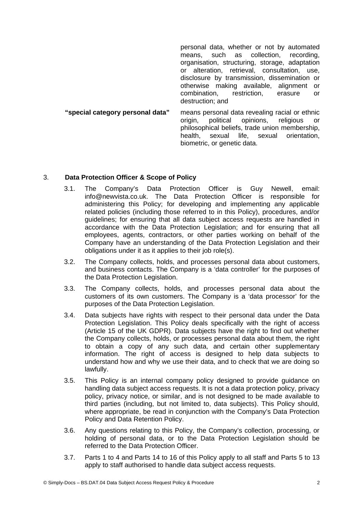personal data, whether or not by automated means, such as collection, recording, organisation, structuring, storage, adaptation or alteration, retrieval, consultation, use, disclosure by transmission, dissemination or otherwise making available, alignment or combination, restriction, erasure or destruction; and **"special category personal data"** means personal data revealing racial or ethnic

origin, political opinions, religious or philosophical beliefs, trade union membership, health, sexual life, sexual orientation, biometric, or genetic data.

#### 3. **Data Protection Officer & Scope of Policy**

- 3.1. The Company's Data Protection Officer is Guy Newell, email: info@newvista.co.uk. The Data Protection Officer is responsible for administering this Policy; for developing and implementing any applicable related policies (including those referred to in this Policy), procedures, and/or guidelines; for ensuring that all data subject access requests are handled in accordance with the Data Protection Legislation; and for ensuring that all employees, agents, contractors, or other parties working on behalf of the Company have an understanding of the Data Protection Legislation and their obligations under it as it applies to their job role(s).
- 3.2. The Company collects, holds, and processes personal data about customers, and business contacts. The Company is a 'data controller' for the purposes of the Data Protection Legislation.
- 3.3. The Company collects, holds, and processes personal data about the customers of its own customers. The Company is a 'data processor' for the purposes of the Data Protection Legislation.
- 3.4. Data subjects have rights with respect to their personal data under the Data Protection Legislation. This Policy deals specifically with the right of access (Article 15 of the UK GDPR). Data subjects have the right to find out whether the Company collects, holds, or processes personal data about them, the right to obtain a copy of any such data, and certain other supplementary information. The right of access is designed to help data subjects to understand how and why we use their data, and to check that we are doing so lawfully.
- 3.5. This Policy is an internal company policy designed to provide guidance on handling data subject access requests. It is not a data protection policy, privacy policy, privacy notice, or similar, and is not designed to be made available to third parties (including, but not limited to, data subjects). This Policy should, where appropriate, be read in conjunction with the Company's Data Protection Policy and Data Retention Policy.
- 3.6. Any questions relating to this Policy, the Company's collection, processing, or holding of personal data, or to the Data Protection Legislation should be referred to the Data Protection Officer.
- 3.7. Parts [1](#page-0-0) to [4](#page-2-1) and Parts [14](#page-8-1) to [16](#page-8-0) of this Policy apply to all staff and Parts [5](#page-2-0) to [13](#page-7-0) apply to staff authorised to handle data subject access requests.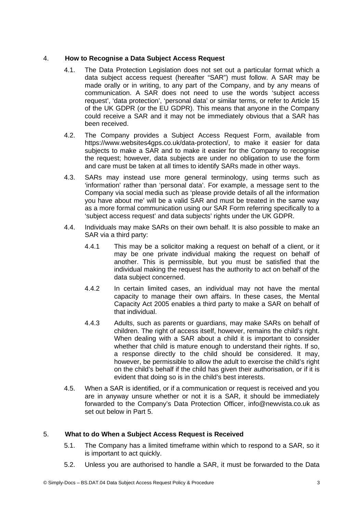# 4. **How to Recognise a Data Subject Access Request**

- <span id="page-2-1"></span>4.1. The Data Protection Legislation does not set out a particular format which a data subject access request (hereafter "SAR") must follow. A SAR may be made orally or in writing, to any part of the Company, and by any means of communication. A SAR does not need to use the words 'subject access request', 'data protection', 'personal data' or similar terms, or refer to Article 15 of the UK GDPR (or the EU GDPR). This means that anyone in the Company could receive a SAR and it may not be immediately obvious that a SAR has been received.
- 4.2. The Company provides a Subject Access Request Form, available from https://www.websites4gps.co.uk/data-protection/, to make it easier for data subjects to make a SAR and to make it easier for the Company to recognise the request; however, data subjects are under no obligation to use the form and care must be taken at all times to identify SARs made in other ways.
- 4.3. SARs may instead use more general terminology, using terms such as 'information' rather than 'personal data'. For example, a message sent to the Company via social media such as 'please provide details of all the information you have about me' will be a valid SAR and must be treated in the same way as a more formal communication using our SAR Form referring specifically to a 'subject access request' and data subjects' rights under the UK GDPR.
- 4.4. Individuals may make SARs on their own behalf. It is also possible to make an SAR via a third party:
	- 4.4.1 This may be a solicitor making a request on behalf of a client, or it may be one private individual making the request on behalf of another. This is permissible, but you must be satisfied that the individual making the request has the authority to act on behalf of the data subject concerned.
	- 4.4.2 In certain limited cases, an individual may not have the mental capacity to manage their own affairs. In these cases, the Mental Capacity Act 2005 enables a third party to make a SAR on behalf of that individual.
	- 4.4.3 Adults, such as parents or guardians, may make SARs on behalf of children. The right of access itself, however, remains the child's right. When dealing with a SAR about a child it is important to consider whether that child is mature enough to understand their rights. If so, a response directly to the child should be considered. It may, however, be permissible to allow the adult to exercise the child's right on the child's behalf if the child has given their authorisation, or if it is evident that doing so is in the child's best interests.
- 4.5. When a SAR is identified, or if a communication or request is received and you are in anyway unsure whether or not it is a SAR, it should be immediately forwarded to the Company's Data Protection Officer, info@newvista.co.uk as set out below in Part [5.](#page-2-0)

# 5. **What to do When a Subject Access Request is Received**

- <span id="page-2-0"></span>5.1. The Company has a limited timeframe within which to respond to a SAR, so it is important to act quickly.
- 5.2. Unless you are authorised to handle a SAR, it must be forwarded to the Data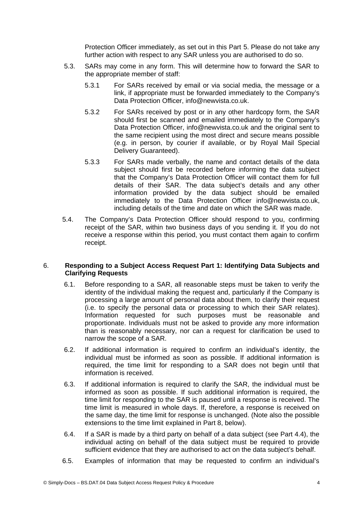Protection Officer immediately, as set out in this Part [5](#page-2-0). Please do not take any further action with respect to any SAR unless you are authorised to do so.

- 5.3. SARs may come in any form. This will determine how to forward the SAR to the appropriate member of staff:
	- 5.3.1 For SARs received by email or via social media, the message or a link, if appropriate must be forwarded immediately to the Company's Data Protection Officer, info@newvista.co.uk.
	- 5.3.2 For SARs received by post or in any other hardcopy form, the SAR should first be scanned and emailed immediately to the Company's Data Protection Officer, info@newvista.co.uk and the original sent to the same recipient using the most direct and secure means possible (e.g. in person, by courier if available, or by Royal Mail Special Delivery Guaranteed).
	- 5.3.3 For SARs made verbally, the name and contact details of the data subject should first be recorded before informing the data subject that the Company's Data Protection Officer will contact them for full details of their SAR. The data subject's details and any other information provided by the data subject should be emailed immediately to the Data Protection Officer info@newvista.co.uk, including details of the time and date on which the SAR was made.
- 5.4. The Company's Data Protection Officer should respond to you, confirming receipt of the SAR, within two business days of you sending it. If you do not receive a response within this period, you must contact them again to confirm receipt.

#### 6. **Responding to a Subject Access Request Part 1: Identifying Data Subjects and Clarifying Requests**

- 6.1. Before responding to a SAR, all reasonable steps must be taken to verify the identity of the individual making the request and, particularly if the Company is processing a large amount of personal data about them, to clarify their request (i.e. to specify the personal data or processing to which their SAR relates). Information requested for such purposes must be reasonable and proportionate. Individuals must not be asked to provide any more information than is reasonably necessary, nor can a request for clarification be used to narrow the scope of a SAR.
- <span id="page-3-1"></span>6.2. If additional information is required to confirm an individual's identity, the individual must be informed as soon as possible. If additional information is required, the time limit for responding to a SAR does not begin until that information is received.
- <span id="page-3-0"></span>6.3. If additional information is required to clarify the SAR, the individual must be informed as soon as possible. If such additional information is required, the time limit for responding to the SAR is paused until a response is received. The time limit is measured in whole days. If, therefore, a response is received on the same day, the time limit for response is unchanged. (Note also the possible extensions to the time limit explained in Part 8, below).
- 6.4. If a SAR is made by a third party on behalf of a data subject (see Part 4.4), the individual acting on behalf of the data subject must be required to provide sufficient evidence that they are authorised to act on the data subject's behalf.
- 6.5. Examples of information that may be requested to confirm an individual's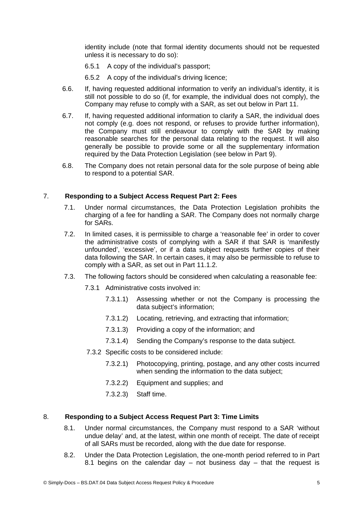identity include (note that formal identity documents should not be requested unless it is necessary to do so):

- 6.5.1 A copy of the individual's passport;
- 6.5.2 A copy of the individual's driving licence;
- 6.6. If, having requested additional information to verify an individual's identity, it is still not possible to do so (if, for example, the individual does not comply), the Company may refuse to comply with a SAR, as set out below in Part 11.
- 6.7. If, having requested additional information to clarify a SAR, the individual does not comply (e.g. does not respond, or refuses to provide further information), the Company must still endeavour to comply with the SAR by making reasonable searches for the personal data relating to the request. It will also generally be possible to provide some or all the supplementary information required by the Data Protection Legislation (see below in Part [9](#page-5-0)).
- 6.8. The Company does not retain personal data for the sole purpose of being able to respond to a potential SAR.

# 7. **Responding to a Subject Access Request Part 2: Fees**

- 7.1. Under normal circumstances, the Data Protection Legislation prohibits the charging of a fee for handling a SAR. The Company does not normally charge for SARs.
- <span id="page-4-1"></span>7.2. In limited cases, it is permissible to charge a 'reasonable fee' in order to cover the administrative costs of complying with a SAR if that SAR is 'manifestly unfounded', 'excessive', or if a data subject requests further copies of their data following the SAR. In certain cases, it may also be permissible to refuse to comply with a SAR, as set out in Part [11.1.2.](#page-7-1)
- 7.3. The following factors should be considered when calculating a reasonable fee:
	- 7.3.1 Administrative costs involved in:
		- 7.3.1.1) Assessing whether or not the Company is processing the data subject's information;
		- 7.3.1.2) Locating, retrieving, and extracting that information;
		- 7.3.1.3) Providing a copy of the information; and
		- 7.3.1.4) Sending the Company's response to the data subject.
	- 7.3.2 Specific costs to be considered include:
		- 7.3.2.1) Photocopying, printing, postage, and any other costs incurred when sending the information to the data subject;
		- 7.3.2.2) Equipment and supplies; and
		- 7.3.2.3) Staff time.

## 8. **Responding to a Subject Access Request Part 3: Time Limits**

- <span id="page-4-0"></span>8.1. Under normal circumstances, the Company must respond to a SAR 'without undue delay' and, at the latest, within one month of receipt. The date of receipt of all SARs must be recorded, along with the due date for response.
- 8.2. Under the Data Protection Legislation, the one-month period referred to in Part 8.1 begins on the calendar day  $-$  not business day  $-$  that the request is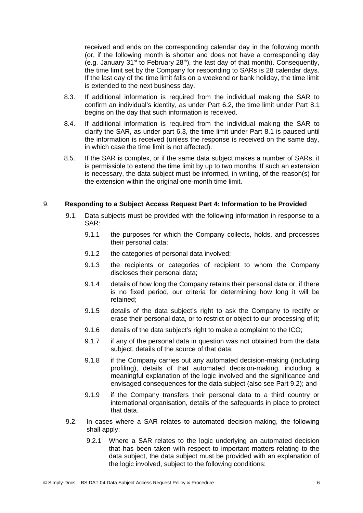received and ends on the corresponding calendar day in the following month (or, if the following month is shorter and does not have a corresponding day (e.g. January  $31^{st}$  to February  $28^{th}$ ), the last day of that month). Consequently, the time limit set by the Company for responding to SARs is 28 calendar days. If the last day of the time limit falls on a weekend or bank holiday, the time limit is extended to the next business day.

- 8.3. If additional information is required from the individual making the SAR to confirm an individual's identity, as under Part [6.2](#page-3-1), the time limit under Part [8.1](#page-4-0) begins on the day that such information is received.
- 8.4. If additional information is required from the individual making the SAR to clarify the SAR, as under part [6.3,](#page-3-0) the time limit under Part [8.1](#page-4-0) is paused until the information is received (unless the response is received on the same day, in which case the time limit is not affected).
- 8.5. If the SAR is complex, or if the same data subject makes a number of SARs, it is permissible to extend the time limit by up to two months. If such an extension is necessary, the data subject must be informed, in writing, of the reason(s) for the extension within the original one-month time limit.

#### 9. **Responding to a Subject Access Request Part 4: Information to be Provided**

- <span id="page-5-2"></span><span id="page-5-0"></span>9.1. Data subjects must be provided with the following information in response to a SAR:
	- 9.1.1 the purposes for which the Company collects, holds, and processes their personal data;
	- 9.1.2 the categories of personal data involved;
	- 9.1.3 the recipients or categories of recipient to whom the Company discloses their personal data;
	- 9.1.4 details of how long the Company retains their personal data or, if there is no fixed period, our criteria for determining how long it will be retained;
	- 9.1.5 details of the data subject's right to ask the Company to rectify or erase their personal data, or to restrict or object to our processing of it;
	- 9.1.6 details of the data subject's right to make a complaint to the ICO;
	- 9.1.7 if any of the personal data in question was not obtained from the data subject, details of the source of that data;
	- 9.1.8 if the Company carries out any automated decision-making (including profiling), details of that automated decision-making, including a meaningful explanation of the logic involved and the significance and envisaged consequences for the data subject (also see Part 9.2); and
	- 9.1.9 if the Company transfers their personal data to a third country or international organisation, details of the safeguards in place to protect that data.
- <span id="page-5-1"></span>9.2. In cases where a SAR relates to automated decision-making, the following shall apply:
	- 9.2.1 Where a SAR relates to the logic underlying an automated decision that has been taken with respect to important matters relating to the data subject, the data subject must be provided with an explanation of the logic involved, subject to the following conditions: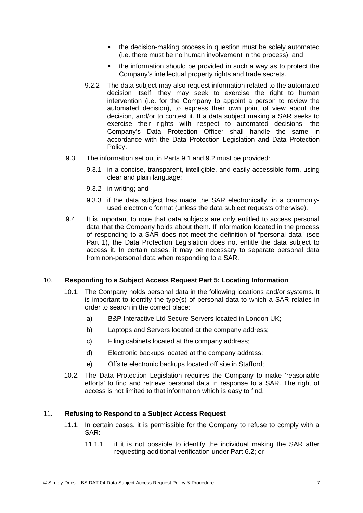- the decision-making process in question must be solely automated (i.e. there must be no human involvement in the process); and
- the information should be provided in such a way as to protect the Company's intellectual property rights and trade secrets.
- 9.2.2 The data subject may also request information related to the automated decision itself, they may seek to exercise the right to human intervention (i.e. for the Company to appoint a person to review the automated decision), to express their own point of view about the decision, and/or to contest it. If a data subject making a SAR seeks to exercise their rights with respect to automated decisions, the Company's Data Protection Officer shall handle the same in accordance with the Data Protection Legislation and Data Protection Policy.
- 9.3. The information set out in Parts [9.1](#page-5-2) and [9.2](#page-5-1) must be provided:
	- 9.3.1 in a concise, transparent, intelligible, and easily accessible form, using clear and plain language;
	- 9.3.2 in writing; and
	- 9.3.3 if the data subject has made the SAR electronically, in a commonlyused electronic format (unless the data subject requests otherwise).
- 9.4. It is important to note that data subjects are only entitled to access personal data that the Company holds about them. If information located in the process of responding to a SAR does not meet the definition of "personal data" (see Part 1), the Data Protection Legislation does not entitle the data subject to access it. In certain cases, it may be necessary to separate personal data from non-personal data when responding to a SAR.

# 10. **Responding to a Subject Access Request Part 5: Locating Information**

- 10.1. The Company holds personal data in the following locations and/or systems. It is important to identify the type(s) of personal data to which a SAR relates in order to search in the correct place:
	- a) B&P Interactive Ltd Secure Servers located in London UK;
	- b) Laptops and Servers located at the company address;
	- c) Filing cabinets located at the company address;
	- d) Electronic backups located at the company address;
	- e) Offsite electronic backups located off site in Stafford;
- 10.2. The Data Protection Legislation requires the Company to make 'reasonable efforts' to find and retrieve personal data in response to a SAR. The right of access is not limited to that information which is easy to find.

#### 11. **Refusing to Respond to a Subject Access Request**

- 11.1. In certain cases, it is permissible for the Company to refuse to comply with a SAR:
	- 11.1.1 if it is not possible to identify the individual making the SAR after requesting additional verification under Part 6.2; or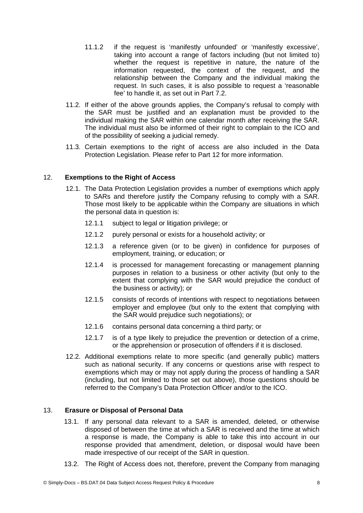- <span id="page-7-1"></span>11.1.2 if the request is 'manifestly unfounded' or 'manifestly excessive', taking into account a range of factors including (but not limited to) whether the request is repetitive in nature, the nature of the information requested, the context of the request, and the relationship between the Company and the individual making the request. In such cases, it is also possible to request a 'reasonable fee' to handle it, as set out in Part [7.2.](#page-4-1)
- 11.2. If either of the above grounds applies, the Company's refusal to comply with the SAR must be justified and an explanation must be provided to the individual making the SAR within one calendar month after receiving the SAR. The individual must also be informed of their right to complain to the ICO and of the possibility of seeking a judicial remedy.
- 11.3. Certain exemptions to the right of access are also included in the Data Protection Legislation. Please refer to Part [12](#page-7-2) for more information.

# 12. **Exemptions to the Right of Access**

- <span id="page-7-2"></span>12.1. The Data Protection Legislation provides a number of exemptions which apply to SARs and therefore justify the Company refusing to comply with a SAR. Those most likely to be applicable within the Company are situations in which the personal data in question is:
	- 12.1.1 subject to legal or litigation privilege; or
	- 12.1.2 purely personal or exists for a household activity; or
	- 12.1.3 a reference given (or to be given) in confidence for purposes of employment, training, or education; or
	- 12.1.4 is processed for management forecasting or management planning purposes in relation to a business or other activity (but only to the extent that complying with the SAR would prejudice the conduct of the business or activity); or
	- 12.1.5 consists of records of intentions with respect to negotiations between employer and employee (but only to the extent that complying with the SAR would prejudice such negotiations); or
	- 12.1.6 contains personal data concerning a third party; or
	- 12.1.7 is of a type likely to prejudice the prevention or detection of a crime, or the apprehension or prosecution of offenders if it is disclosed.
- 12.2. Additional exemptions relate to more specific (and generally public) matters such as national security. If any concerns or questions arise with respect to exemptions which may or may not apply during the process of handling a SAR (including, but not limited to those set out above), those questions should be referred to the Company's Data Protection Officer and/or to the ICO.

# 13. **Erasure or Disposal of Personal Data**

- <span id="page-7-0"></span>13.1. If any personal data relevant to a SAR is amended, deleted, or otherwise disposed of between the time at which a SAR is received and the time at which a response is made, the Company is able to take this into account in our response provided that amendment, deletion, or disposal would have been made irrespective of our receipt of the SAR in question.
- 13.2. The Right of Access does not, therefore, prevent the Company from managing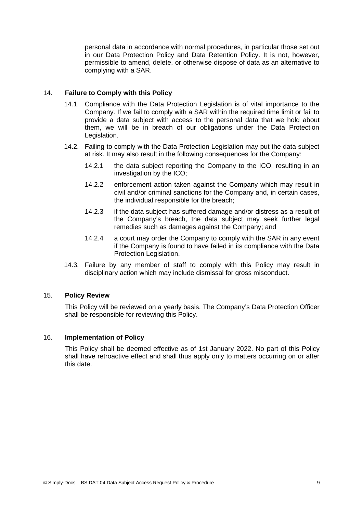personal data in accordance with normal procedures, in particular those set out in our Data Protection Policy and Data Retention Policy. It is not, however, permissible to amend, delete, or otherwise dispose of data as an alternative to complying with a SAR.

# 14. **Failure to Comply with this Policy**

- <span id="page-8-1"></span>14.1. Compliance with the Data Protection Legislation is of vital importance to the Company. If we fail to comply with a SAR within the required time limit or fail to provide a data subject with access to the personal data that we hold about them, we will be in breach of our obligations under the Data Protection Legislation.
- 14.2. Failing to comply with the Data Protection Legislation may put the data subject at risk. It may also result in the following consequences for the Company:
	- 14.2.1 the data subject reporting the Company to the ICO, resulting in an investigation by the ICO;
	- 14.2.2 enforcement action taken against the Company which may result in civil and/or criminal sanctions for the Company and, in certain cases, the individual responsible for the breach;
	- 14.2.3 if the data subject has suffered damage and/or distress as a result of the Company's breach, the data subject may seek further legal remedies such as damages against the Company; and
	- 14.2.4 a court may order the Company to comply with the SAR in any event if the Company is found to have failed in its compliance with the Data Protection Legislation.
- 14.3. Failure by any member of staff to comply with this Policy may result in disciplinary action which may include dismissal for gross misconduct.

#### 15. **Policy Review**

This Policy will be reviewed on a yearly basis. The Company's Data Protection Officer shall be responsible for reviewing this Policy.

# 16. **Implementation of Policy**

<span id="page-8-0"></span>This Policy shall be deemed effective as of 1st January 2022. No part of this Policy shall have retroactive effect and shall thus apply only to matters occurring on or after this date.